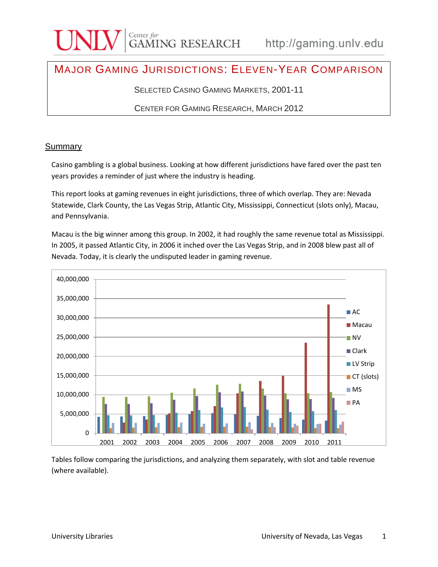### MAJOR GAMING JURISDICTIONS: ELEVEN-YEAR COMPARISON

SELECTED CASINO GAMING MARKETS, 2001-11

CENTER FOR GAMING RESEARCH, MARCH 2012

#### **Summary**

Casino gambling is a global business. Looking at how different jurisdictions have fared over the past ten years provides a reminder of just where the industry is heading.

This report looks at gaming revenues in eight jurisdictions, three of which overlap. They are: Nevada Statewide, Clark County, the Las Vegas Strip, Atlantic City, Mississippi, Connecticut (slots only), Macau, and Pennsylvania.

Macau is the big winner among this group. In 2002, it had roughly the same revenue total as Mississippi. In 2005, it passed Atlantic City, in 2006 it inched over the Las Vegas Strip, and in 2008 blew past all of Nevada. Today, it is clearly the undisputed leader in gaming revenue.



Tables follow comparing the jurisdictions, and analyzing them separately, with slot and table revenue (where available).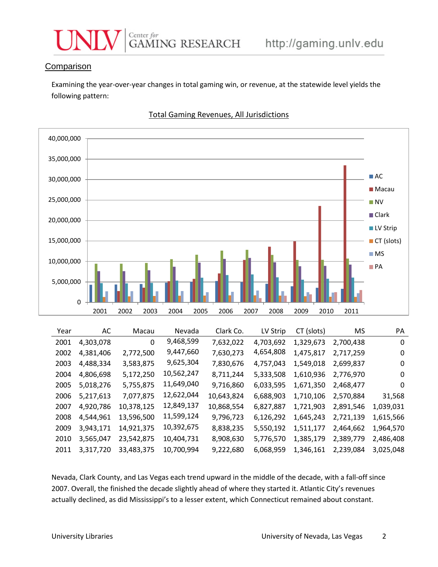

#### **Comparison**

Examining the year-over-year changes in total gaming win, or revenue, at the statewide level yields the following pattern:



#### Total Gaming Revenues, All Jurisdictions

| Year | AC        | Macau      | Nevada     | Clark Co.  | LV Strip  | CT (slots) | MS        | PA        |
|------|-----------|------------|------------|------------|-----------|------------|-----------|-----------|
| 2001 | 4,303,078 | 0          | 9,468,599  | 7,632,022  | 4,703,692 | 1,329,673  | 2,700,438 | 0         |
| 2002 | 4,381,406 | 2,772,500  | 9,447,660  | 7,630,273  | 4,654,808 | 1,475,817  | 2,717,259 | 0         |
| 2003 | 4,488,334 | 3,583,875  | 9,625,304  | 7,830,676  | 4,757,043 | 1,549,018  | 2,699,837 | 0         |
| 2004 | 4,806,698 | 5,172,250  | 10,562,247 | 8,711,244  | 5,333,508 | 1,610,936  | 2,776,970 | 0         |
| 2005 | 5,018,276 | 5,755,875  | 11,649,040 | 9,716,860  | 6,033,595 | 1,671,350  | 2,468,477 | 0         |
| 2006 | 5,217,613 | 7,077,875  | 12,622,044 | 10,643,824 | 6,688,903 | 1,710,106  | 2,570,884 | 31,568    |
| 2007 | 4,920,786 | 10,378,125 | 12,849,137 | 10,868,554 | 6,827,887 | 1,721,903  | 2,891,546 | 1,039,031 |
| 2008 | 4,544,961 | 13,596,500 | 11,599,124 | 9,796,723  | 6,126,292 | 1,645,243  | 2,721,139 | 1,615,566 |
| 2009 | 3,943,171 | 14,921,375 | 10,392,675 | 8,838,235  | 5,550,192 | 1,511,177  | 2,464,662 | 1,964,570 |
| 2010 | 3,565,047 | 23,542,875 | 10,404,731 | 8,908,630  | 5,776,570 | 1,385,179  | 2,389,779 | 2,486,408 |
| 2011 | 3,317,720 | 33,483,375 | 10,700,994 | 9,222,680  | 6,068,959 | 1,346,161  | 2,239,084 | 3,025,048 |

Nevada, Clark County, and Las Vegas each trend upward in the middle of the decade, with a fall-off since 2007. Overall, the finished the decade slightly ahead of where they started it. Atlantic City's revenues actually declined, as did Mississippi's to a lesser extent, which Connecticut remained about constant.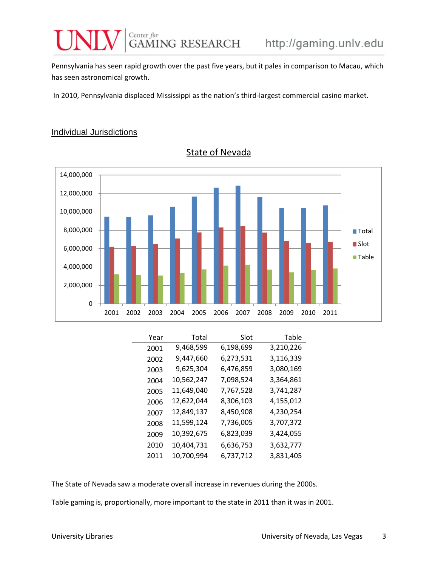Pennsylvania has seen rapid growth over the past five years, but it pales in comparison to Macau, which has seen astronomical growth.

In 2010, Pennsylvania displaced Mississippi as the nation's third-largest commercial casino market.

#### Individual Jurisdictions



State of Nevada

| Year | Total      | Slot      | Table     |
|------|------------|-----------|-----------|
| 2001 | 9,468,599  | 6,198,699 | 3,210,226 |
| 2002 | 9,447,660  | 6,273,531 | 3,116,339 |
| 2003 | 9,625,304  | 6,476,859 | 3,080,169 |
| 2004 | 10,562,247 | 7,098,524 | 3,364,861 |
| 2005 | 11,649,040 | 7,767,528 | 3,741,287 |
| 2006 | 12,622,044 | 8,306,103 | 4,155,012 |
| 2007 | 12,849,137 | 8,450,908 | 4,230,254 |
| 2008 | 11,599,124 | 7,736,005 | 3,707,372 |
| 2009 | 10,392,675 | 6,823,039 | 3,424,055 |
| 2010 | 10,404,731 | 6,636,753 | 3,632,777 |
| 2011 | 10,700,994 | 6,737,712 | 3,831,405 |

The State of Nevada saw a moderate overall increase in revenues during the 2000s.

Table gaming is, proportionally, more important to the state in 2011 than it was in 2001.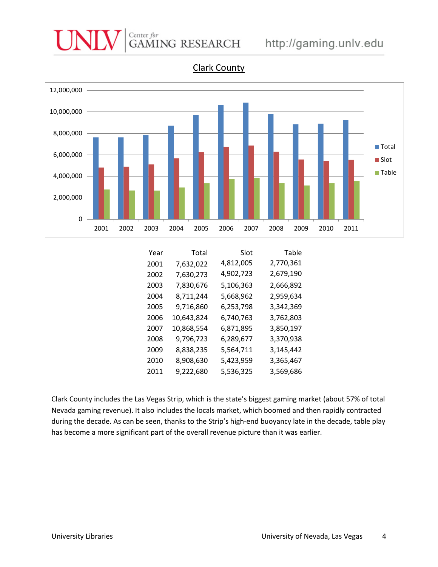

Clark County

| Year | Total      | Slot      | Table     |
|------|------------|-----------|-----------|
| 2001 | 7,632,022  | 4,812,005 | 2,770,361 |
| 2002 | 7,630,273  | 4,902,723 | 2,679,190 |
| 2003 | 7,830,676  | 5,106,363 | 2,666,892 |
| 2004 | 8,711,244  | 5,668,962 | 2,959,634 |
| 2005 | 9,716,860  | 6,253,798 | 3,342,369 |
| 2006 | 10,643,824 | 6,740,763 | 3,762,803 |
| 2007 | 10,868,554 | 6,871,895 | 3,850,197 |
| 2008 | 9,796,723  | 6,289,677 | 3,370,938 |
| 2009 | 8,838,235  | 5,564,711 | 3,145,442 |
| 2010 | 8,908,630  | 5,423,959 | 3,365,467 |
| 2011 | 9,222,680  | 5,536,325 | 3,569,686 |

Clark County includes the Las Vegas Strip, which is the state's biggest gaming market (about 57% of total Nevada gaming revenue). It also includes the locals market, which boomed and then rapidly contracted during the decade. As can be seen, thanks to the Strip's high-end buoyancy late in the decade, table play has become a more significant part of the overall revenue picture than it was earlier.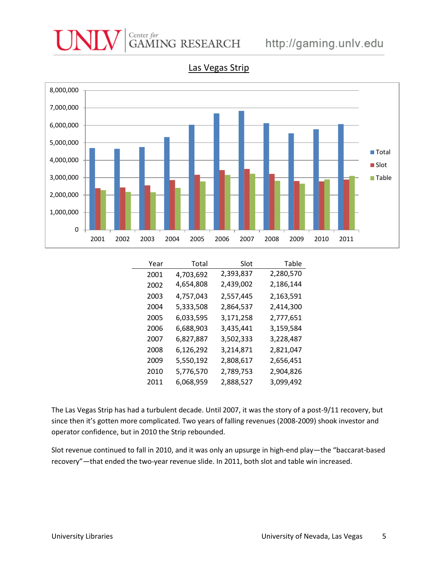

#### Las Vegas Strip

| Year | Total     | Slot      | Table     |
|------|-----------|-----------|-----------|
| 2001 | 4,703,692 | 2,393,837 | 2,280,570 |
| 2002 | 4,654,808 | 2,439,002 | 2,186,144 |
| 2003 | 4,757,043 | 2,557,445 | 2,163,591 |
| 2004 | 5,333,508 | 2,864,537 | 2,414,300 |
| 2005 | 6,033,595 | 3,171,258 | 2,777,651 |
| 2006 | 6,688,903 | 3,435,441 | 3,159,584 |
| 2007 | 6,827,887 | 3,502,333 | 3,228,487 |
| 2008 | 6,126,292 | 3,214,871 | 2,821,047 |
| 2009 | 5,550,192 | 2,808,617 | 2,656,451 |
| 2010 | 5,776,570 | 2,789,753 | 2,904,826 |
| 2011 | 6,068,959 | 2,888,527 | 3,099,492 |

The Las Vegas Strip has had a turbulent decade. Until 2007, it was the story of a post-9/11 recovery, but since then it's gotten more complicated. Two years of falling revenues (2008-2009) shook investor and operator confidence, but in 2010 the Strip rebounded.

Slot revenue continued to fall in 2010, and it was only an upsurge in high-end play—the "baccarat-based recovery"—that ended the two-year revenue slide. In 2011, both slot and table win increased.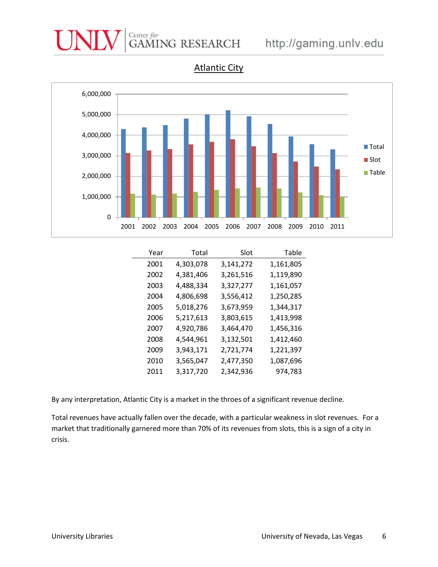

| Year | Total     | Slot      | Table     |
|------|-----------|-----------|-----------|
| 2001 | 4,303,078 | 3,141,272 | 1,161,805 |
| 2002 | 4,381,406 | 3,261,516 | 1,119,890 |
| 2003 | 4,488,334 | 3,327,277 | 1,161,057 |
| 2004 | 4,806,698 | 3,556,412 | 1,250,285 |
| 2005 | 5,018,276 | 3,673,959 | 1,344,317 |
| 2006 | 5,217,613 | 3,803,615 | 1,413,998 |
| 2007 | 4,920,786 | 3,464,470 | 1,456,316 |
| 2008 | 4,544,961 | 3,132,501 | 1,412,460 |
| 2009 | 3,943,171 | 2,721,774 | 1,221,397 |
| 2010 | 3,565,047 | 2,477,350 | 1,087,696 |
| 2011 | 3,317,720 | 2,342,936 | 974,783   |

By any interpretation, Atlantic City is a market in the throes of a significant revenue decline.

Total revenues have actually fallen over the decade, with a particular weakness in slot revenues. For a market that traditionally garnered more than 70% of its revenues from slots, this is a sign of a city in crisis.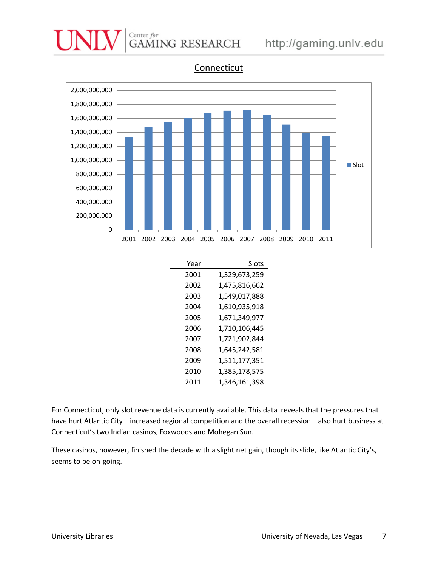# Center for<br>GAMING RESEARCH http://gaming.unlv.edu



Connecticut

| Year | Slots         |
|------|---------------|
| 2001 | 1,329,673,259 |
| 2002 | 1,475,816,662 |
| 2003 | 1,549,017,888 |
| 2004 | 1,610,935,918 |
| 2005 | 1,671,349,977 |
| 2006 | 1,710,106,445 |
| 2007 | 1,721,902,844 |
| 2008 | 1,645,242,581 |
| 2009 | 1,511,177,351 |
| 2010 | 1,385,178,575 |
| 2011 | 1,346,161,398 |

For Connecticut, only slot revenue data is currently available. This data reveals that the pressures that have hurt Atlantic City—increased regional competition and the overall recession—also hurt business at Connecticut's two Indian casinos, Foxwoods and Mohegan Sun.

These casinos, however, finished the decade with a slight net gain, though its slide, like Atlantic City's, seems to be on-going.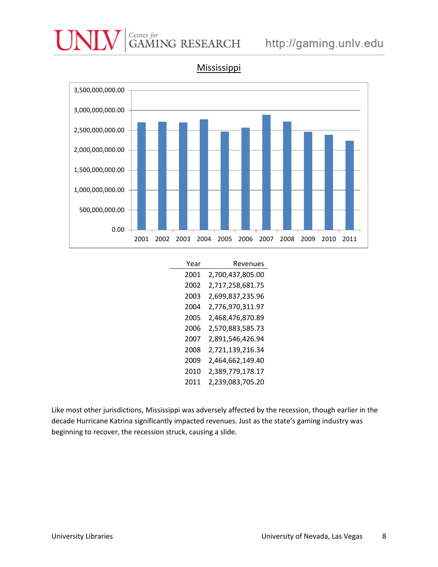



Mississippi

| Year | Revenues         |
|------|------------------|
| 2001 | 2,700,437,805.00 |
| 2002 | 2,717,258,681.75 |
| 2003 | 2,699,837,235.96 |
| 2004 | 2,776,970,311.97 |
| 2005 | 2,468,476,870.89 |
| 2006 | 2,570,883,585.73 |
| 2007 | 2,891,546,426.94 |
| 2008 | 2,721,139,216.34 |
| 2009 | 2,464,662,149.40 |
| 2010 | 2,389,779,178.17 |
| 2011 | 2,239,083,705.20 |

Like most other jurisdictions, Mississippi was adversely affected by the recession, though earlier in the decade Hurricane Katrina significantly impacted revenues. Just as the state's gaming industry was beginning to recover, the recession struck, causing a slide.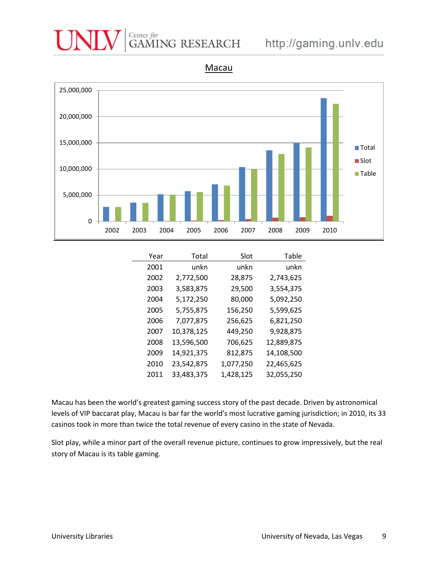### Center for<br>GAMING RESEARCH http://gaming.unlv.edu



Macau

| Year | Total      | Slot      | Table      |
|------|------------|-----------|------------|
| 2001 | unkn       | unkn      | unkn       |
| 2002 | 2,772,500  | 28,875    | 2,743,625  |
| 2003 | 3,583,875  | 29,500    | 3,554,375  |
| 2004 | 5,172,250  | 80,000    | 5,092,250  |
| 2005 | 5,755,875  | 156,250   | 5,599,625  |
| 2006 | 7,077,875  | 256,625   | 6,821,250  |
| 2007 | 10,378,125 | 449,250   | 9,928,875  |
| 2008 | 13,596,500 | 706,625   | 12,889,875 |
| 2009 | 14,921,375 | 812,875   | 14,108,500 |
| 2010 | 23,542,875 | 1,077,250 | 22,465,625 |
| 2011 | 33,483,375 | 1,428,125 | 32,055,250 |

Macau has been the world's greatest gaming success story of the past decade. Driven by astronomical levels of VIP baccarat play, Macau is bar far the world's most lucrative gaming jurisdiction; in 2010, its 33 casinos took in more than twice the total revenue of every casino in the state of Nevada.

Slot play, while a minor part of the overall revenue picture, continues to grow impressively, but the real story of Macau is its table gaming.